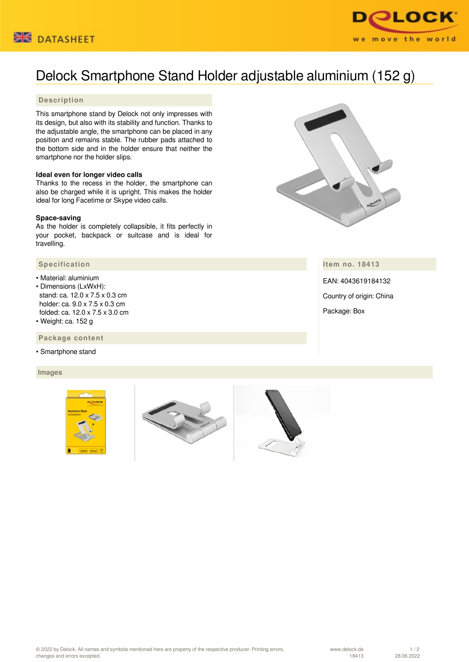



# Delock Smartphone Stand Holder adjustable aluminium (152 g)

### **Description**

This smartphone stand by Delock not only impresses with its design, but also with its stability and function. Thanks to the adjustable angle, the smartphone can be placed in any position and remains stable. The rubber pads attached to the bottom side and in the holder ensure that neither the smartphone nor the holder slips.

#### **Ideal even for longer video calls**

Thanks to the recess in the holder, the smartphone can also be charged while it is upright. This makes the holder ideal for long Facetime or Skype video calls.

#### **Space-saving**

As the holder is completely collapsible, it fits perfectly in your pocket, backpack or suitcase and is ideal for travelling.

#### **Specification**

- Material: aluminium • Dimensions (LxWxH): stand: ca. 12.0 x 7.5 x 0.3 cm holder: ca. 9.0 x 7.5 x 0.3 cm folded: ca. 12.0 x 7.5 x 3.0 cm
- Weight: ca. 152 g

 **Package content**

• Smartphone stand

#### **Images**



## **Item no. 18413**

EAN: 4043619184132 Country of origin: China Package: Box